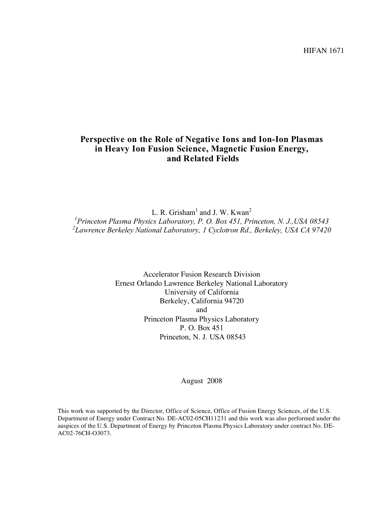# HIFAN 1671

# **Perspective on the Role of Negative Ions and Ion-Ion Plasmas in Heavy Ion Fusion Science, Magnetic Fusion Energy, and Related Fields**

L. R. Grisham<sup>1</sup> and J. W. Kwan<sup>2</sup>

*1 Princeton Plasma Physics Laboratory, P. O. Box 451, Princeton, N. J.,USA 08543 2 Lawrence Berkeley National Laboratory, 1 Cyclotron Rd., Berkeley, USA CA 97420*

> Accelerator Fusion Research Division Ernest Orlando Lawrence Berkeley National Laboratory University of California Berkeley, California 94720 and Princeton Plasma Physics Laboratory P. O. Box 451 Princeton, N. J. USA 08543

> > August 2008

This work was supported by the Director, Office of Science, Office of Fusion Energy Sciences, of the U.S. Department of Energy under Contract No. DE-AC02-05CH11231 and this work was also performed under the auspices of the U.S. Department of Energy by Princeton Plasma Physics Laboratory under contract No. DE-AC02-76CH-O3073.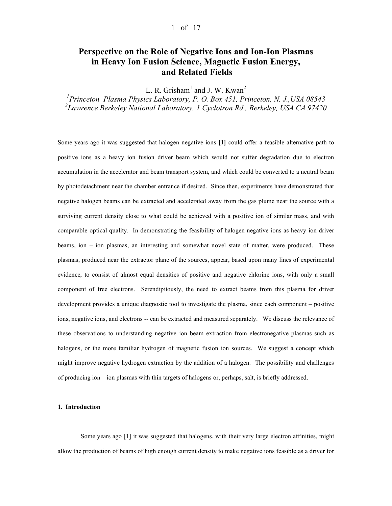# **Perspective on the Role of Negative Ions and Ion-Ion Plasmas in Heavy Ion Fusion Science, Magnetic Fusion Energy, and Related Fields**

L. R. Grisham<sup>1</sup> and J. W. Kwan<sup>2</sup>

*1 Princeton Plasma Physics Laboratory, P. O. Box 451, Princeton, N. J.,USA 08543 2 Lawrence Berkeley National Laboratory, 1 Cyclotron Rd., Berkeley, USA CA 97420* 

Some years ago it was suggested that halogen negative ions **[1]** could offer a feasible alternative path to positive ions as a heavy ion fusion driver beam which would not suffer degradation due to electron accumulation in the accelerator and beam transport system, and which could be converted to a neutral beam by photodetachment near the chamber entrance if desired. Since then, experiments have demonstrated that negative halogen beams can be extracted and accelerated away from the gas plume near the source with a surviving current density close to what could be achieved with a positive ion of similar mass, and with comparable optical quality. In demonstrating the feasibility of halogen negative ions as heavy ion driver beams, ion – ion plasmas, an interesting and somewhat novel state of matter, were produced. These plasmas, produced near the extractor plane of the sources, appear, based upon many lines of experimental evidence, to consist of almost equal densities of positive and negative chlorine ions, with only a small component of free electrons. Serendipitously, the need to extract beams from this plasma for driver development provides a unique diagnostic tool to investigate the plasma, since each component – positive ions, negative ions, and electrons -- can be extracted and measured separately. We discuss the relevance of these observations to understanding negative ion beam extraction from electronegative plasmas such as halogens, or the more familiar hydrogen of magnetic fusion ion sources. We suggest a concept which might improve negative hydrogen extraction by the addition of a halogen. The possibility and challenges of producing ion—ion plasmas with thin targets of halogens or, perhaps, salt, is briefly addressed.

## **1. Introduction**

Some years ago [1] it was suggested that halogens, with their very large electron affinities, might allow the production of beams of high enough current density to make negative ions feasible as a driver for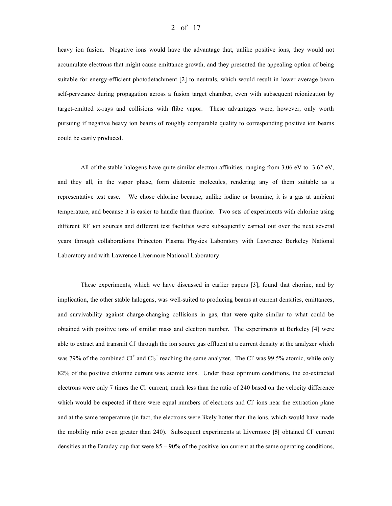heavy ion fusion. Negative ions would have the advantage that, unlike positive ions, they would not accumulate electrons that might cause emittance growth, and they presented the appealing option of being suitable for energy-efficient photodetachment [2] to neutrals, which would result in lower average beam self-perveance during propagation across a fusion target chamber, even with subsequent reionization by target-emitted x-rays and collisions with flibe vapor. These advantages were, however, only worth pursuing if negative heavy ion beams of roughly comparable quality to corresponding positive ion beams could be easily produced.

All of the stable halogens have quite similar electron affinities, ranging from 3.06 eV to 3.62 eV, and they all, in the vapor phase, form diatomic molecules, rendering any of them suitable as a representative test case. We chose chlorine because, unlike iodine or bromine, it is a gas at ambient temperature, and because it is easier to handle than fluorine. Two sets of experiments with chlorine using different RF ion sources and different test facilities were subsequently carried out over the next several years through collaborations Princeton Plasma Physics Laboratory with Lawrence Berkeley National Laboratory and with Lawrence Livermore National Laboratory.

These experiments, which we have discussed in earlier papers [3], found that chorine, and by implication, the other stable halogens, was well-suited to producing beams at current densities, emittances, and survivability against charge-changing collisions in gas, that were quite similar to what could be obtained with positive ions of similar mass and electron number. The experiments at Berkeley [4] were able to extract and transmit Cl through the ion source gas effluent at a current density at the analyzer which was 79% of the combined  $Cl<sup>+</sup>$  and  $Cl<sub>2</sub><sup>+</sup>$  reaching the same analyzer. The Cl was 99.5% atomic, while only 82% of the positive chlorine current was atomic ions. Under these optimum conditions, the co-extracted electrons were only 7 times the Cl current, much less than the ratio of 240 based on the velocity difference which would be expected if there were equal numbers of electrons and Cl ions near the extraction plane and at the same temperature (in fact, the electrons were likely hotter than the ions, which would have made the mobility ratio even greater than 240). Subsequent experiments at Livermore [5] obtained Cl<sup>-</sup> current densities at the Faraday cup that were  $85 - 90\%$  of the positive ion current at the same operating conditions,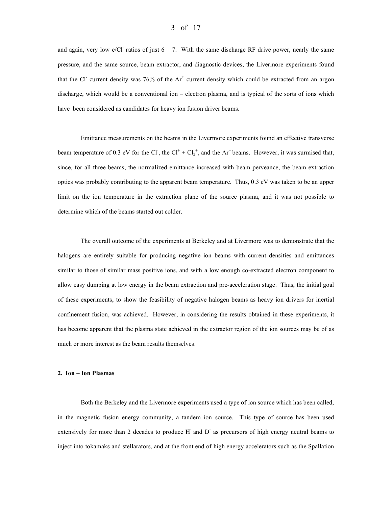and again, very low e/Cl ratios of just  $6 - 7$ . With the same discharge RF drive power, nearly the same pressure, and the same source, beam extractor, and diagnostic devices, the Livermore experiments found that the Cl current density was 76% of the  $Ar^+$  current density which could be extracted from an argon discharge, which would be a conventional ion – electron plasma, and is typical of the sorts of ions which have been considered as candidates for heavy ion fusion driver beams.

Emittance measurements on the beams in the Livermore experiments found an effective transverse beam temperature of 0.3 eV for the Cl<sup>+</sup>, the Cl<sup>+</sup> + Cl<sub>2</sub><sup>+</sup>, and the Ar<sup>+</sup> beams. However, it was surmised that, since, for all three beams, the normalized emittance increased with beam perveance, the beam extraction optics was probably contributing to the apparent beam temperature. Thus, 0.3 eV was taken to be an upper limit on the ion temperature in the extraction plane of the source plasma, and it was not possible to determine which of the beams started out colder.

The overall outcome of the experiments at Berkeley and at Livermore was to demonstrate that the halogens are entirely suitable for producing negative ion beams with current densities and emittances similar to those of similar mass positive ions, and with a low enough co-extracted electron component to allow easy dumping at low energy in the beam extraction and pre-acceleration stage. Thus, the initial goal of these experiments, to show the feasibility of negative halogen beams as heavy ion drivers for inertial confinement fusion, was achieved. However, in considering the results obtained in these experiments, it has become apparent that the plasma state achieved in the extractor region of the ion sources may be of as much or more interest as the beam results themselves.

#### **2. Ion – Ion Plasmas**

Both the Berkeley and the Livermore experiments used a type of ion source which has been called, in the magnetic fusion energy community, a tandem ion source. This type of source has been used extensively for more than 2 decades to produce H and D as precursors of high energy neutral beams to inject into tokamaks and stellarators, and at the front end of high energy accelerators such as the Spallation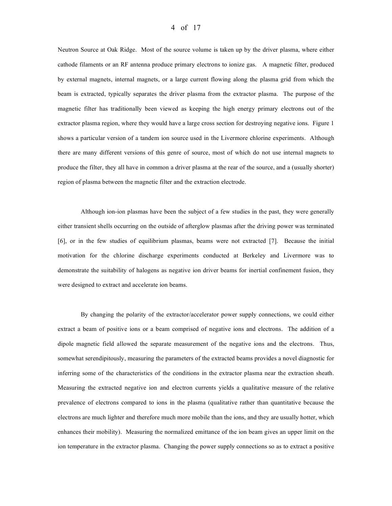Neutron Source at Oak Ridge. Most of the source volume is taken up by the driver plasma, where either cathode filaments or an RF antenna produce primary electrons to ionize gas. A magnetic filter, produced by external magnets, internal magnets, or a large current flowing along the plasma grid from which the beam is extracted, typically separates the driver plasma from the extractor plasma. The purpose of the magnetic filter has traditionally been viewed as keeping the high energy primary electrons out of the extractor plasma region, where they would have a large cross section for destroying negative ions. Figure 1 shows a particular version of a tandem ion source used in the Livermore chlorine experiments. Although there are many different versions of this genre of source, most of which do not use internal magnets to produce the filter, they all have in common a driver plasma at the rear of the source, and a (usually shorter) region of plasma between the magnetic filter and the extraction electrode.

Although ion-ion plasmas have been the subject of a few studies in the past, they were generally either transient shells occurring on the outside of afterglow plasmas after the driving power was terminated [6], or in the few studies of equilibrium plasmas, beams were not extracted [7]. Because the initial motivation for the chlorine discharge experiments conducted at Berkeley and Livermore was to demonstrate the suitability of halogens as negative ion driver beams for inertial confinement fusion, they were designed to extract and accelerate ion beams.

By changing the polarity of the extractor/accelerator power supply connections, we could either extract a beam of positive ions or a beam comprised of negative ions and electrons. The addition of a dipole magnetic field allowed the separate measurement of the negative ions and the electrons. Thus, somewhat serendipitously, measuring the parameters of the extracted beams provides a novel diagnostic for inferring some of the characteristics of the conditions in the extractor plasma near the extraction sheath. Measuring the extracted negative ion and electron currents yields a qualitative measure of the relative prevalence of electrons compared to ions in the plasma (qualitative rather than quantitative because the electrons are much lighter and therefore much more mobile than the ions, and they are usually hotter, which enhances their mobility). Measuring the normalized emittance of the ion beam gives an upper limit on the ion temperature in the extractor plasma. Changing the power supply connections so as to extract a positive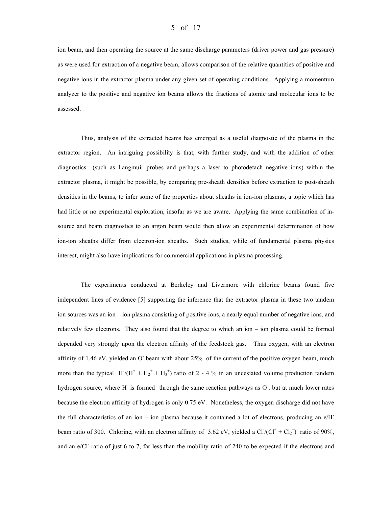ion beam, and then operating the source at the same discharge parameters (driver power and gas pressure) as were used for extraction of a negative beam, allows comparison of the relative quantities of positive and negative ions in the extractor plasma under any given set of operating conditions. Applying a momentum analyzer to the positive and negative ion beams allows the fractions of atomic and molecular ions to be assessed.

Thus, analysis of the extracted beams has emerged as a useful diagnostic of the plasma in the extractor region. An intriguing possibility is that, with further study, and with the addition of other diagnostics (such as Langmuir probes and perhaps a laser to photodetach negative ions) within the extractor plasma, it might be possible, by comparing pre-sheath densities before extraction to post-sheath densities in the beams, to infer some of the properties about sheaths in ion-ion plasmas, a topic which has had little or no experimental exploration, insofar as we are aware. Applying the same combination of insource and beam diagnostics to an argon beam would then allow an experimental determination of how ion-ion sheaths differ from electron-ion sheaths. Such studies, while of fundamental plasma physics interest, might also have implications for commercial applications in plasma processing.

The experiments conducted at Berkeley and Livermore with chlorine beams found five independent lines of evidence [5] supporting the inference that the extractor plasma in these two tandem ion sources was an ion – ion plasma consisting of positive ions, a nearly equal number of negative ions, and relatively few electrons. They also found that the degree to which an ion – ion plasma could be formed depended very strongly upon the electron affinity of the feedstock gas. Thus oxygen, with an electron affinity of 1.46 eV, yielded an O beam with about 25% of the current of the positive oxygen beam, much more than the typical  $H/(H^+ + H_2^+ + H_3^+)$  ratio of 2 - 4 % in an uncesiated volume production tandem hydrogen source, where H<sup>-</sup> is formed through the same reaction pathways as O<sup>-</sup>, but at much lower rates because the electron affinity of hydrogen is only 0.75 eV. Nonetheless, the oxygen discharge did not have the full characteristics of an ion – ion plasma because it contained a lot of electrons, producing an  $e/H$ beam ratio of 300. Chlorine, with an electron affinity of 3.62 eV, yielded a  $Cl/(Cl^+ + Cl_2^+)$  ratio of 90%, and an e/Cl ratio of just 6 to 7, far less than the mobility ratio of 240 to be expected if the electrons and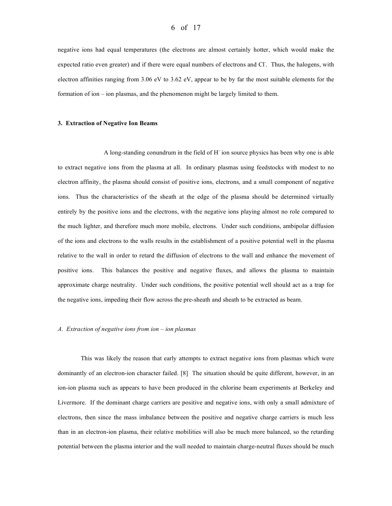negative ions had equal temperatures (the electrons are almost certainly hotter, which would make the expected ratio even greater) and if there were equal numbers of electrons and Cl. Thus, the halogens, with electron affinities ranging from 3.06 eV to 3.62 eV, appear to be by far the most suitable elements for the formation of ion – ion plasmas, and the phenomenon might be largely limited to them.

#### **3. Extraction of Negative Ion Beams**

A long-standing conundrum in the field of H- ion source physics has been why one is able to extract negative ions from the plasma at all. In ordinary plasmas using feedstocks with modest to no electron affinity, the plasma should consist of positive ions, electrons, and a small component of negative ions. Thus the characteristics of the sheath at the edge of the plasma should be determined virtually entirely by the positive ions and the electrons, with the negative ions playing almost no role compared to the much lighter, and therefore much more mobile, electrons. Under such conditions, ambipolar diffusion of the ions and electrons to the walls results in the establishment of a positive potential well in the plasma relative to the wall in order to retard the diffusion of electrons to the wall and enhance the movement of positive ions. This balances the positive and negative fluxes, and allows the plasma to maintain approximate charge neutrality. Under such conditions, the positive potential well should act as a trap for the negative ions, impeding their flow across the pre-sheath and sheath to be extracted as beam.

### *A. Extraction of negative ions from ion – ion plasmas*

This was likely the reason that early attempts to extract negative ions from plasmas which were dominantly of an electron-ion character failed. [8] The situation should be quite different, however, in an ion-ion plasma such as appears to have been produced in the chlorine beam experiments at Berkeley and Livermore. If the dominant charge carriers are positive and negative ions, with only a small admixture of electrons, then since the mass imbalance between the positive and negative charge carriers is much less than in an electron-ion plasma, their relative mobilities will also be much more balanced, so the retarding potential between the plasma interior and the wall needed to maintain charge-neutral fluxes should be much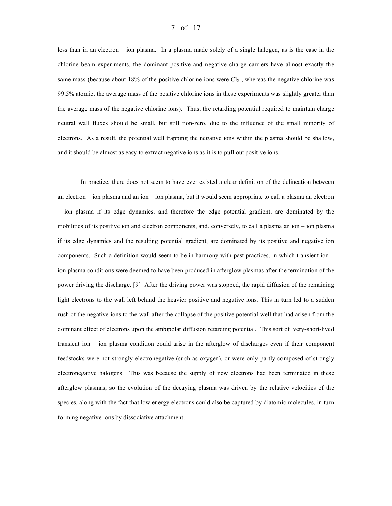less than in an electron – ion plasma. In a plasma made solely of a single halogen, as is the case in the chlorine beam experiments, the dominant positive and negative charge carriers have almost exactly the same mass (because about 18% of the positive chlorine ions were  $Cl_2^{\dagger}$ , whereas the negative chlorine was 99.5% atomic, the average mass of the positive chlorine ions in these experiments was slightly greater than the average mass of the negative chlorine ions). Thus, the retarding potential required to maintain charge neutral wall fluxes should be small, but still non-zero, due to the influence of the small minority of electrons. As a result, the potential well trapping the negative ions within the plasma should be shallow, and it should be almost as easy to extract negative ions as it is to pull out positive ions.

In practice, there does not seem to have ever existed a clear definition of the delineation between an electron – ion plasma and an ion – ion plasma, but it would seem appropriate to call a plasma an electron – ion plasma if its edge dynamics, and therefore the edge potential gradient, are dominated by the mobilities of its positive ion and electron components, and, conversely, to call a plasma an ion – ion plasma if its edge dynamics and the resulting potential gradient, are dominated by its positive and negative ion components. Such a definition would seem to be in harmony with past practices, in which transient ion – ion plasma conditions were deemed to have been produced in afterglow plasmas after the termination of the power driving the discharge. [9] After the driving power was stopped, the rapid diffusion of the remaining light electrons to the wall left behind the heavier positive and negative ions. This in turn led to a sudden rush of the negative ions to the wall after the collapse of the positive potential well that had arisen from the dominant effect of electrons upon the ambipolar diffusion retarding potential. This sort of very-short-lived transient ion – ion plasma condition could arise in the afterglow of discharges even if their component feedstocks were not strongly electronegative (such as oxygen), or were only partly composed of strongly electronegative halogens. This was because the supply of new electrons had been terminated in these afterglow plasmas, so the evolution of the decaying plasma was driven by the relative velocities of the species, along with the fact that low energy electrons could also be captured by diatomic molecules, in turn forming negative ions by dissociative attachment.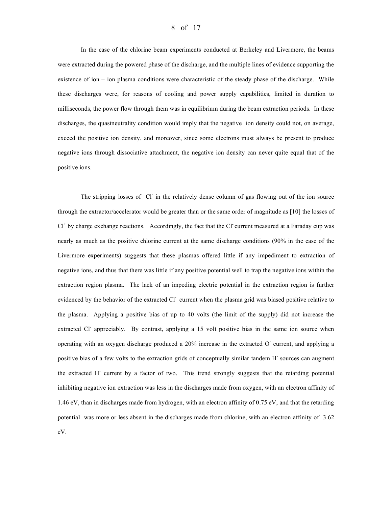In the case of the chlorine beam experiments conducted at Berkeley and Livermore, the beams were extracted during the powered phase of the discharge, and the multiple lines of evidence supporting the existence of ion – ion plasma conditions were characteristic of the steady phase of the discharge. While these discharges were, for reasons of cooling and power supply capabilities, limited in duration to milliseconds, the power flow through them was in equilibrium during the beam extraction periods. In these discharges, the quasineutrality condition would imply that the negative ion density could not, on average, exceed the positive ion density, and moreover, since some electrons must always be present to produce negative ions through dissociative attachment, the negative ion density can never quite equal that of the positive ions.

The stripping losses of Cl in the relatively dense column of gas flowing out of the ion source through the extractor/accelerator would be greater than or the same order of magnitude as [10] the losses of Cl<sup>+</sup> by charge exchange reactions. Accordingly, the fact that the Cl<sup>-</sup> current measured at a Faraday cup was nearly as much as the positive chlorine current at the same discharge conditions (90% in the case of the Livermore experiments) suggests that these plasmas offered little if any impediment to extraction of negative ions, and thus that there was little if any positive potential well to trap the negative ions within the extraction region plasma. The lack of an impeding electric potential in the extraction region is further evidenced by the behavior of the extracted Cl<sup>-</sup> current when the plasma grid was biased positive relative to the plasma. Applying a positive bias of up to 40 volts (the limit of the supply) did not increase the extracted Cl appreciably. By contrast, applying a 15 volt positive bias in the same ion source when operating with an oxygen discharge produced a  $20\%$  increase in the extracted O current, and applying a positive bias of a few volts to the extraction grids of conceptually similar tandem H- sources can augment the extracted H- current by a factor of two. This trend strongly suggests that the retarding potential inhibiting negative ion extraction was less in the discharges made from oxygen, with an electron affinity of 1.46 eV, than in discharges made from hydrogen, with an electron affinity of 0.75 eV, and that the retarding potential was more or less absent in the discharges made from chlorine, with an electron affinity of 3.62 eV.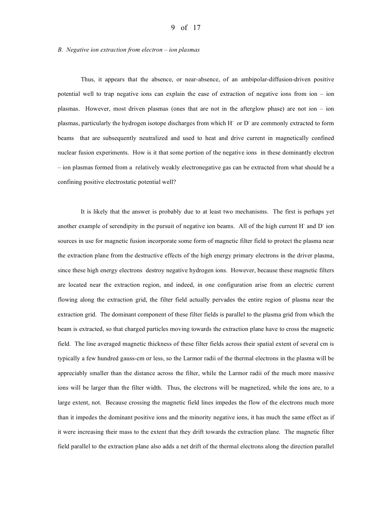## *B. Negative ion extraction from electron – ion plasmas*

Thus, it appears that the absence, or near-absence, of an ambipolar-diffusion-driven positive potential well to trap negative ions can explain the ease of extraction of negative ions from ion – ion plasmas. However, most driven plasmas (ones that are not in the afterglow phase) are not ion – ion plasmas, particularly the hydrogen isotope discharges from which H- or D- are commonly extracted to form beams that are subsequently neutralized and used to heat and drive current in magnetically confined nuclear fusion experiments. How is it that some portion of the negative ions in these dominantly electron – ion plasmas formed from a relatively weakly electronegative gas can be extracted from what should be a confining positive electrostatic potential well?

It is likely that the answer is probably due to at least two mechanisms. The first is perhaps yet another example of serendipity in the pursuit of negative ion beams. All of the high current H- and D- ion sources in use for magnetic fusion incorporate some form of magnetic filter field to protect the plasma near the extraction plane from the destructive effects of the high energy primary electrons in the driver plasma, since these high energy electrons destroy negative hydrogen ions. However, because these magnetic filters are located near the extraction region, and indeed, in one configuration arise from an electric current flowing along the extraction grid, the filter field actually pervades the entire region of plasma near the extraction grid. The dominant component of these filter fields is parallel to the plasma grid from which the beam is extracted, so that charged particles moving towards the extraction plane have to cross the magnetic field. The line averaged magnetic thickness of these filter fields across their spatial extent of several cm is typically a few hundred gauss-cm or less, so the Larmor radii of the thermal electrons in the plasma will be appreciably smaller than the distance across the filter, while the Larmor radii of the much more massive ions will be larger than the filter width. Thus, the electrons will be magnetized, while the ions are, to a large extent, not. Because crossing the magnetic field lines impedes the flow of the electrons much more than it impedes the dominant positive ions and the minority negative ions, it has much the same effect as if it were increasing their mass to the extent that they drift towards the extraction plane. The magnetic filter field parallel to the extraction plane also adds a net drift of the thermal electrons along the direction parallel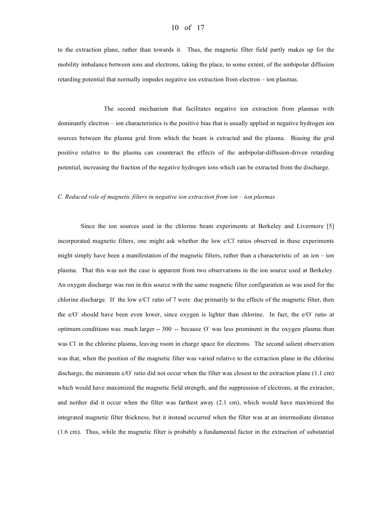to the extraction plane, rather than towards it. Thus, the magnetic filter field partly makes up for the mobility imbalance between ions and electrons, taking the place, to some extent, of the ambipolar diffusion retarding potential that normally impedes negative ion extraction from electron – ion plasmas.

The second mechanism that facilitates negative ion extraction from plasmas with dominantly electron – ion characteristics is the positive bias that is usually applied in negative hydrogen ion sources between the plasma grid from which the beam is extracted and the plasma. Biasing the grid positive relative to the plasma can counteract the effects of the ambipolar-diffusion-driven retarding potential, increasing the fraction of the negative hydrogen ions which can be extracted from the discharge.

#### *C. Reduced role of magnetic filters in negative ion extraction from ion – ion plasmas*

Since the ion sources used in the chlorine beam experiments at Berkeley and Livermore [5] incorporated magnetic filters, one might ask whether the low e/Cl ratios observed in these experiments might simply have been a manifestation of the magnetic filters, rather than a characteristic of an ion – ion plasma. That this was not the case is apparent from two observations in the ion source used at Berkeley. An oxygen discharge was run in this source with the same magnetic filter configuration as was used for the chlorine discharge. If the low e/Cl ratio of 7 were due primarily to the effects of the magnetic filter, then the e/O should have been even lower, since oxygen is lighter than chlorine. In fact, the e/O ratio at optimum conditions was much larger  $-300 -$  because O was less prominent in the oxygen plasma than was Cl in the chlorine plasma, leaving room in charge space for electrons. The second salient observation was that, when the position of the magnetic filter was varied relative to the extraction plane in the chlorine discharge, the minimum  $e/O$  ratio did not occur when the filter was closest to the extraction plane (1.1 cm) which would have maximized the magnetic field strength, and the suppression of electrons, at the extractor, and neither did it occur when the filter was farthest away (2.1 cm), which would have maximized the integrated magnetic filter thickness, but it instead occurred when the filter was at an intermediate distance (1.6 cm). Thus, while the magnetic filter is probably a fundamental factor in the extraction of substantial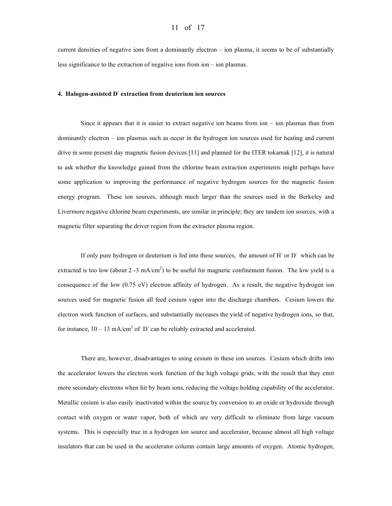current densities of negative ions from a dominantly electron – ion plasma, it seems to be of substantially less significance to the extraction of negative ions from ion – ion plasmas.

## **4. Halogen-assisted D- extraction from deuterium ion sources**

Since it appears that it is easier to extract negative ion beams from ion – ion plasmas than from dominantly electron – ion plasmas such as occur in the hydrogen ion sources used for heating and current drive in some present day magnetic fusion devices [11] and planned for the ITER tokamak [12], it is natural to ask whether the knowledge gained from the chlorine beam extraction experiments might perhaps have some application to improving the performance of negative hydrogen sources for the magnetic fusion energy program. These ion sources, although much larger than the sources used in the Berkeley and Livermore negative chlorine beam experiments, are similar in principle; they are tandem ion sources, with a magnetic filter separating the driver region from the extractor plasma region.

If only pure hydrogen or deuterium is fed into these sources, the amount of H or D which can be extracted is too low (about 2 -3 mA/cm<sup>2</sup>) to be useful for magnetic confinement fusion. The low yield is a consequence of the low (0.75 eV) electron affinity of hydrogen. As a result, the negative hydrogen ion sources used for magnetic fusion all feed cesium vapor into the discharge chambers. Cesium lowers the electron work function of surfaces, and substantially increases the yield of negative hydrogen ions, so that, for instance,  $10 - 13$  mA/cm<sup>2</sup> of D<sup>-</sup> can be reliably extracted and accelerated.

There are, however, disadvantages to using cesium in these ion sources. Cesium which drifts into the accelerator lowers the electron work function of the high voltage grids, with the result that they emit more secondary electrons when hit by beam ions, reducing the voltage holding capability of the accelerator. Metallic cesium is also easily inactivated within the source by conversion to an oxide or hydroxide through contact with oxygen or water vapor, both of which are very difficult to eliminate from large vacuum systems. This is especially true in a hydrogen ion source and accelerator, because almost all high voltage insulators that can be used in the accelerator column contain large amounts of oxygen. Atomic hydrogen,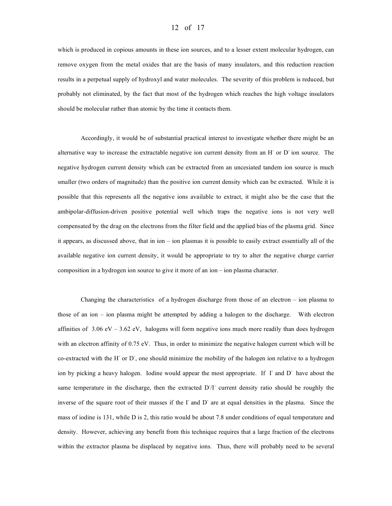which is produced in copious amounts in these ion sources, and to a lesser extent molecular hydrogen, can remove oxygen from the metal oxides that are the basis of many insulators, and this reduction reaction results in a perpetual supply of hydroxyl and water molecules. The severity of this problem is reduced, but probably not eliminated, by the fact that most of the hydrogen which reaches the high voltage insulators should be molecular rather than atomic by the time it contacts them.

Accordingly, it would be of substantial practical interest to investigate whether there might be an alternative way to increase the extractable negative ion current density from an H- or D- ion source. The negative hydrogen current density which can be extracted from an uncesiated tandem ion source is much smaller (two orders of magnitude) than the positive ion current density which can be extracted. While it is possible that this represents all the negative ions available to extract, it might also be the case that the ambipolar-diffusion-driven positive potential well which traps the negative ions is not very well compensated by the drag on the electrons from the filter field and the applied bias of the plasma grid. Since it appears, as discussed above, that in ion – ion plasmas it is possible to easily extract essentially all of the available negative ion current density, it would be appropriate to try to alter the negative charge carrier composition in a hydrogen ion source to give it more of an ion – ion plasma character.

Changing the characteristics of a hydrogen discharge from those of an electron – ion plasma to those of an ion – ion plasma might be attempted by adding a halogen to the discharge. With electron affinities of  $3.06$  eV –  $3.62$  eV, halogens will form negative ions much more readily than does hydrogen with an electron affinity of 0.75 eV. Thus, in order to minimize the negative halogen current which will be co-extracted with the H or D, one should minimize the mobility of the halogen ion relative to a hydrogen ion by picking a heavy halogen. Iodine would appear the most appropriate. If I and D have about the same temperature in the discharge, then the extracted D<sup>-</sup>/I<sup>-</sup> current density ratio should be roughly the inverse of the square root of their masses if the I and D are at equal densities in the plasma. Since the mass of iodine is 131, while D is 2, this ratio would be about 7.8 under conditions of equal temperature and density. However, achieving any benefit from this technique requires that a large fraction of the electrons within the extractor plasma be displaced by negative ions. Thus, there will probably need to be several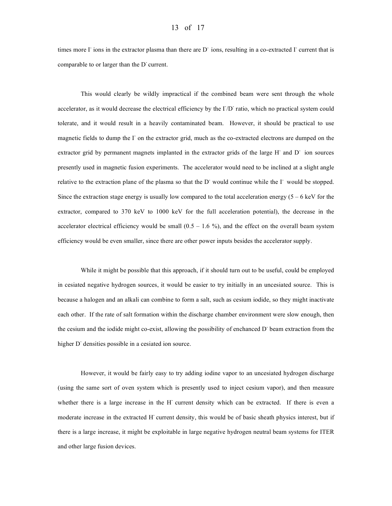times more I ions in the extractor plasma than there are D ions, resulting in a co-extracted I current that is comparable to or larger than the D<sup>-</sup> current.

This would clearly be wildly impractical if the combined beam were sent through the whole accelerator, as it would decrease the electrical efficiency by the I/D ratio, which no practical system could tolerate, and it would result in a heavily contaminated beam. However, it should be practical to use magnetic fields to dump the I on the extractor grid, much as the co-extracted electrons are dumped on the extractor grid by permanent magnets implanted in the extractor grids of the large  $H^-$  and  $D^-$  ion sources presently used in magnetic fusion experiments. The accelerator would need to be inclined at a slight angle relative to the extraction plane of the plasma so that the D would continue while the I would be stopped. Since the extraction stage energy is usually low compared to the total acceleration energy  $(5 - 6 \text{ keV}$  for the extractor, compared to 370 keV to 1000 keV for the full acceleration potential), the decrease in the accelerator electrical efficiency would be small  $(0.5 - 1.6 \%)$ , and the effect on the overall beam system efficiency would be even smaller, since there are other power inputs besides the accelerator supply.

While it might be possible that this approach, if it should turn out to be useful, could be employed in cesiated negative hydrogen sources, it would be easier to try initially in an uncesiated source. This is because a halogen and an alkali can combine to form a salt, such as cesium iodide, so they might inactivate each other. If the rate of salt formation within the discharge chamber environment were slow enough, then the cesium and the iodide might co-exist, allowing the possibility of enchanced D- beam extraction from the higher D<sup>-</sup> densities possible in a cesiated ion source.

However, it would be fairly easy to try adding iodine vapor to an uncesiated hydrogen discharge (using the same sort of oven system which is presently used to inject cesium vapor), and then measure whether there is a large increase in the H<sup>-</sup> current density which can be extracted. If there is even a moderate increase in the extracted H<sup>-</sup> current density, this would be of basic sheath physics interest, but if there is a large increase, it might be exploitable in large negative hydrogen neutral beam systems for ITER and other large fusion devices.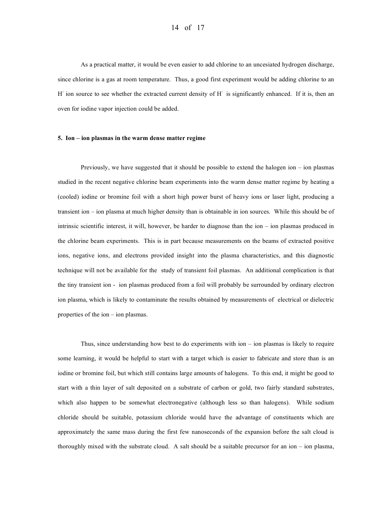As a practical matter, it would be even easier to add chlorine to an uncesiated hydrogen discharge, since chlorine is a gas at room temperature. Thus, a good first experiment would be adding chlorine to an H<sup>-</sup> ion source to see whether the extracted current density of H<sup>-</sup> is significantly enhanced. If it is, then an oven for iodine vapor injection could be added.

#### **5. Ion – ion plasmas in the warm dense matter regime**

Previously, we have suggested that it should be possible to extend the halogen ion – ion plasmas studied in the recent negative chlorine beam experiments into the warm dense matter regime by heating a (cooled) iodine or bromine foil with a short high power burst of heavy ions or laser light, producing a transient ion – ion plasma at much higher density than is obtainable in ion sources. While this should be of intrinsic scientific interest, it will, however, be harder to diagnose than the ion – ion plasmas produced in the chlorine beam experiments. This is in part because measurements on the beams of extracted positive ions, negative ions, and electrons provided insight into the plasma characteristics, and this diagnostic technique will not be available for the study of transient foil plasmas. An additional complication is that the tiny transient ion - ion plasmas produced from a foil will probably be surrounded by ordinary electron ion plasma, which is likely to contaminate the results obtained by measurements of electrical or dielectric properties of the ion – ion plasmas.

Thus, since understanding how best to do experiments with  $\text{ion} - \text{ion}$  plasmas is likely to require some learning, it would be helpful to start with a target which is easier to fabricate and store than is an iodine or bromine foil, but which still contains large amounts of halogens. To this end, it might be good to start with a thin layer of salt deposited on a substrate of carbon or gold, two fairly standard substrates, which also happen to be somewhat electronegative (although less so than halogens). While sodium chloride should be suitable, potassium chloride would have the advantage of constituents which are approximately the same mass during the first few nanoseconds of the expansion before the salt cloud is thoroughly mixed with the substrate cloud. A salt should be a suitable precursor for an ion – ion plasma,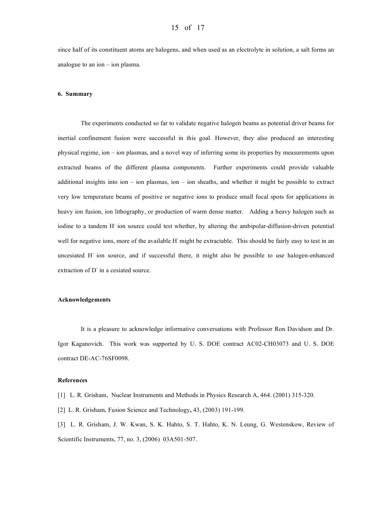since half of its constituent atoms are halogens, and when used as an electrolyte in solution, a salt forms an analogue to an ion – ion plasma.

#### **6. Summary**

The experiments conducted so far to validate negative halogen beams as potential driver beams for inertial confinement fusion were successful in this goal. However, they also produced an interesting physical regime, ion – ion plasmas, and a novel way of inferring some its properties by measurements upon extracted beams of the different plasma components. Further experiments could provide valuable additional insights into ion – ion plasmas, ion – ion sheaths, and whether it might be possible to extract very low temperature beams of positive or negative ions to produce small focal spots for applications in heavy ion fusion, ion lithography, or production of warm dense matter. Adding a heavy halogen such as iodine to a tandem H- ion source could test whether, by altering the ambipolar-diffusion-driven potential well for negative ions, more of the available H might be extractable. This should be fairly easy to test in an uncesiated H- ion source, and if successful there, it might also be possible to use halogen-enhanced extraction of D<sup>-</sup> in a cesiated source.

## **Acknowledgements**

It is a pleasure to acknowledge informative conversations with Professor Ron Davidson and Dr. Igor Kaganovich. This work was supported by U. S. DOE contract AC02-CH03073 and U. S. DOE contract DE-AC-76SF0098.

## **References**

- [1] L. R. Grisham, Nuclear Instruments and Methods in Physics Research A, 464. (2001) 315-320.
- [2] L. R. Grisham, Fusion Science and Technology**,** 43, (2003) 191-199.
- [3] L. R. Grisham, J. W. Kwan, S. K. Hahto, S. T. Hahto, K. N. Leung, G. Westenskow, Review of Scientific Instruments, 77, no. 3, (2006) 03A501-507.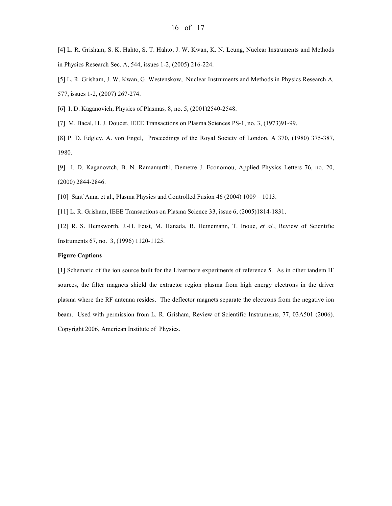[4] L. R. Grisham, S. K. Hahto, S. T. Hahto, J. W. Kwan, K. N. Leung, Nuclear Instruments and Methods in Physics Research Sec. A, 544, issues 1-2, (2005) 216-224.

[5] L. R. Grisham, J. W. Kwan, G. Westenskow, Nuclear Instruments and Methods in Physics Research A*,* 577, issues 1-2, (2007) 267-274.

[6] I. D. Kaganovich, Physics of Plasmas*,* 8, no. 5, (2001)2540-2548.

[7] M. Bacal, H. J. Doucet, IEEE Transactions on Plasma Sciences PS-1, no. 3, (1973)91-99.

[8] P. D. Edgley, A. von Engel, Proceedings of the Royal Society of London, A 370, (1980) 375-387, 1980.

[9] I. D. Kaganovtch, B. N. Ramamurthi, Demetre J. Economou, Applied Physics Letters 76, no. 20, (2000) 2844-2846.

[10] Sant'Anna et al., Plasma Physics and Controlled Fusion 46 (2004) 1009 - 1013.

[11] L. R. Grisham, IEEE Transactions on Plasma Science 33, issue 6, (2005)1814-1831.

[12] R. S. Hemsworth, J.-H. Feist, M. Hanada, B. Heinemann, T. Inoue, *et al.*, Review of Scientific Instruments 67, no. 3, (1996) 1120-1125.

#### **Figure Captions**

[1] Schematic of the ion source built for the Livermore experiments of reference 5. As in other tandem Hsources, the filter magnets shield the extractor region plasma from high energy electrons in the driver plasma where the RF antenna resides. The deflector magnets separate the electrons from the negative ion beam. Used with permission from L. R. Grisham, Review of Scientific Instruments, 77, 03A501 (2006). Copyright 2006, American Institute of Physics.